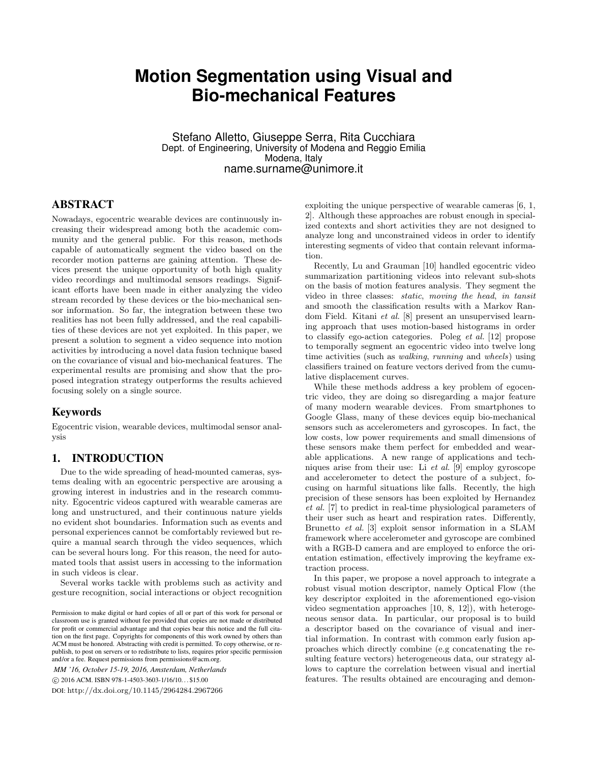# **Motion Segmentation using Visual and Bio-mechanical Features**

Stefano Alletto, Giuseppe Serra, Rita Cucchiara Dept. of Engineering, University of Modena and Reggio Emilia Modena, Italy name.surname@unimore.it

## ABSTRACT

Nowadays, egocentric wearable devices are continuously increasing their widespread among both the academic community and the general public. For this reason, methods capable of automatically segment the video based on the recorder motion patterns are gaining attention. These devices present the unique opportunity of both high quality video recordings and multimodal sensors readings. Significant efforts have been made in either analyzing the video stream recorded by these devices or the bio-mechanical sensor information. So far, the integration between these two realities has not been fully addressed, and the real capabilities of these devices are not yet exploited. In this paper, we present a solution to segment a video sequence into motion activities by introducing a novel data fusion technique based on the covariance of visual and bio-mechanical features. The experimental results are promising and show that the proposed integration strategy outperforms the results achieved focusing solely on a single source.

### Keywords

Egocentric vision, wearable devices, multimodal sensor analysis

#### 1. INTRODUCTION

Due to the wide spreading of head-mounted cameras, systems dealing with an egocentric perspective are arousing a growing interest in industries and in the research community. Egocentric videos captured with wearable cameras are long and unstructured, and their continuous nature yields no evident shot boundaries. Information such as events and personal experiences cannot be comfortably reviewed but require a manual search through the video sequences, which can be several hours long. For this reason, the need for automated tools that assist users in accessing to the information in such videos is clear.

Several works tackle with problems such as activity and gesture recognition, social interactions or object recognition

*MM '16, October 15-19, 2016, Amsterdam, Netherlands* c 2016 ACM. ISBN 978-1-4503-3603-1/16/10. . . \$15.00 DOI: http://dx.doi.org/10.1145/2964284.2967266

exploiting the unique perspective of wearable cameras [6, 1, 2]. Although these approaches are robust enough in specialized contexts and short activities they are not designed to analyze long and unconstrained videos in order to identify interesting segments of video that contain relevant information.

Recently, Lu and Grauman [10] handled egocentric video summarization partitioning videos into relevant sub-shots on the basis of motion features analysis. They segment the video in three classes: static, moving the head, in tansit and smooth the classification results with a Markov Random Field. Kitani et al. [8] present an unsupervised learning approach that uses motion-based histograms in order to classify ego-action categories. Poleg et al. [12] propose to temporally segment an egocentric video into twelve long time activities (such as walking, running and wheels) using classifiers trained on feature vectors derived from the cumulative displacement curves.

While these methods address a key problem of egocentric video, they are doing so disregarding a major feature of many modern wearable devices. From smartphones to Google Glass, many of these devices equip bio-mechanical sensors such as accelerometers and gyroscopes. In fact, the low costs, low power requirements and small dimensions of these sensors make them perfect for embedded and wearable applications. A new range of applications and techniques arise from their use: Li et al. [9] employ gyroscope and accelerometer to detect the posture of a subject, focusing on harmful situations like falls. Recently, the high precision of these sensors has been exploited by Hernandez et al. [7] to predict in real-time physiological parameters of their user such as heart and respiration rates. Differently, Brunetto et al. [3] exploit sensor information in a SLAM framework where accelerometer and gyroscope are combined with a RGB-D camera and are employed to enforce the orientation estimation, effectively improving the keyframe extraction process.

In this paper, we propose a novel approach to integrate a robust visual motion descriptor, namely Optical Flow (the key descriptor exploited in the aforementioned ego-vision video segmentation approaches [10, 8, 12]), with heterogeneous sensor data. In particular, our proposal is to build a descriptor based on the covariance of visual and inertial information. In contrast with common early fusion approaches which directly combine (e.g concatenating the resulting feature vectors) heterogeneous data, our strategy allows to capture the correlation between visual and inertial features. The results obtained are encouraging and demon-

Permission to make digital or hard copies of all or part of this work for personal or classroom use is granted without fee provided that copies are not made or distributed for profit or commercial advantage and that copies bear this notice and the full citation on the first page. Copyrights for components of this work owned by others than ACM must be honored. Abstracting with credit is permitted. To copy otherwise, or republish, to post on servers or to redistribute to lists, requires prior specific permission and/or a fee. Request permissions from permissions@acm.org.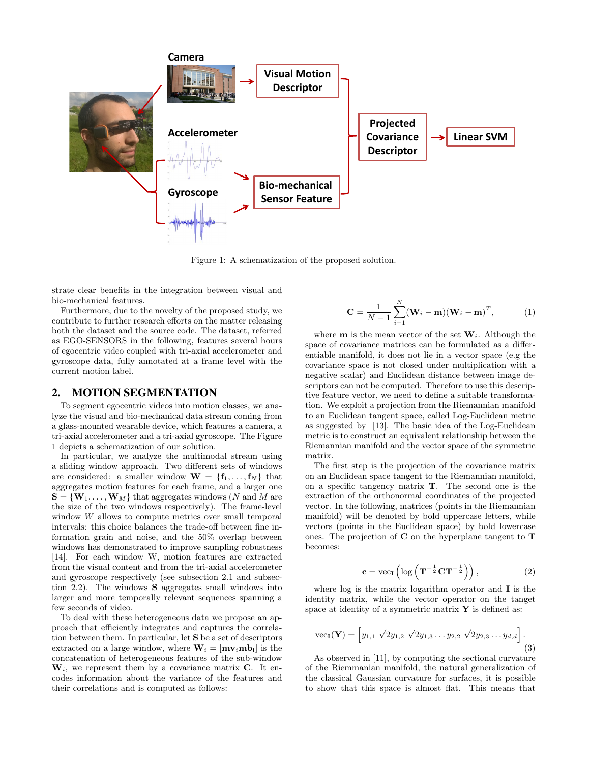

Figure 1: A schematization of the proposed solution.

strate clear benefits in the integration between visual and bio-mechanical features.

Furthermore, due to the novelty of the proposed study, we contribute to further research efforts on the matter releasing both the dataset and the source code. The dataset, referred as EGO-SENSORS in the following, features several hours of egocentric video coupled with tri-axial accelerometer and gyroscope data, fully annotated at a frame level with the current motion label.

#### 2. MOTION SEGMENTATION

To segment egocentric videos into motion classes, we analyze the visual and bio-mechanical data stream coming from a glass-mounted wearable device, which features a camera, a tri-axial accelerometer and a tri-axial gyroscope. The Figure 1 depicts a schematization of our solution.

In particular, we analyze the multimodal stream using a sliding window approach. Two different sets of windows are considered: a smaller window  $\mathbf{W} = \{\mathbf{f}_1, \dots, \mathbf{f}_N\}$  that aggregates motion features for each frame, and a larger one  $\mathbf{S} = \{\mathbf{W}_1, \dots, \mathbf{W}_M\}$  that aggregates windows (N and M are the size of the two windows respectively). The frame-level window W allows to compute metrics over small temporal intervals: this choice balances the trade-off between fine information grain and noise, and the 50% overlap between windows has demonstrated to improve sampling robustness [14]. For each window W, motion features are extracted from the visual content and from the tri-axial accelerometer and gyroscope respectively (see subsection 2.1 and subsection 2.2). The windows S aggregates small windows into larger and more temporally relevant sequences spanning a few seconds of video.

To deal with these heterogeneous data we propose an approach that efficiently integrates and captures the correlation between them. In particular, let S be a set of descriptors extracted on a large window, where  $\mathbf{W}_i = [\mathbf{m} \mathbf{v}_i \mathbf{m} \mathbf{b}_i]$  is the concatenation of heterogeneous features of the sub-window  $W_i$ , we represent them by a covariance matrix C. It encodes information about the variance of the features and their correlations and is computed as follows:

$$
\mathbf{C} = \frac{1}{N-1} \sum_{i=1}^{N} (\mathbf{W}_i - \mathbf{m})(\mathbf{W}_i - \mathbf{m})^T, \tag{1}
$$

where **m** is the mean vector of the set  $W_i$ . Although the space of covariance matrices can be formulated as a differentiable manifold, it does not lie in a vector space (e.g the covariance space is not closed under multiplication with a negative scalar) and Euclidean distance between image descriptors can not be computed. Therefore to use this descriptive feature vector, we need to define a suitable transformation. We exploit a projection from the Riemannian manifold to an Euclidean tangent space, called Log-Euclidean metric as suggested by [13]. The basic idea of the Log-Euclidean metric is to construct an equivalent relationship between the Riemannian manifold and the vector space of the symmetric matrix.

The first step is the projection of the covariance matrix on an Euclidean space tangent to the Riemannian manifold, on a specific tangency matrix T. The second one is the extraction of the orthonormal coordinates of the projected vector. In the following, matrices (points in the Riemannian manifold) will be denoted by bold uppercase letters, while vectors (points in the Euclidean space) by bold lowercase ones. The projection of C on the hyperplane tangent to T becomes:

$$
\mathbf{c} = \text{vec}_{\mathbf{I}} \left( \log \left( \mathbf{T}^{-\frac{1}{2}} \mathbf{C} \mathbf{T}^{-\frac{1}{2}} \right) \right), \tag{2}
$$

where log is the matrix logarithm operator and I is the identity matrix, while the vector operator on the tanget space at identity of a symmetric matrix  $Y$  is defined as:

vec
$$
(\mathbf{Y}) = [y_{1,1} \sqrt{2}y_{1,2} \sqrt{2}y_{1,3} \cdots y_{2,2} \sqrt{2}y_{2,3} \cdots y_{d,d}].
$$
 (3)

As observed in [11], by computing the sectional curvature of the Riemmanian manifold, the natural generalization of the classical Gaussian curvature for surfaces, it is possible to show that this space is almost flat. This means that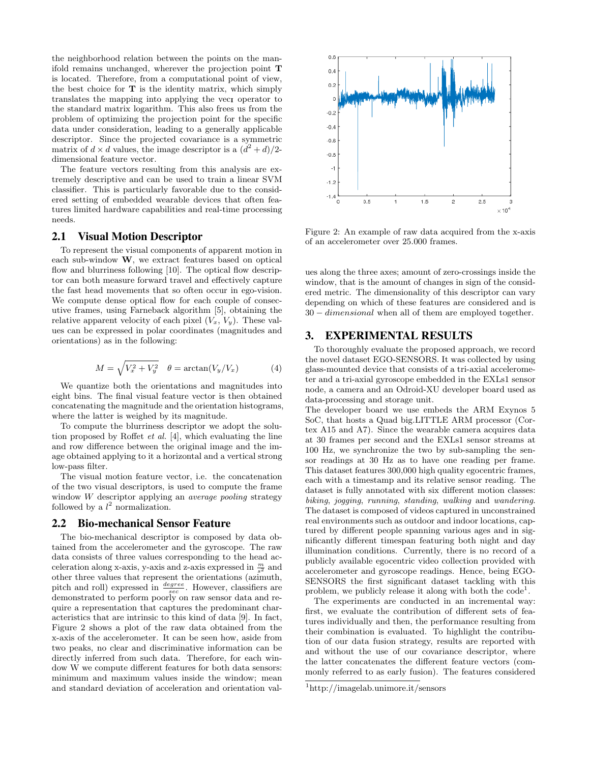the neighborhood relation between the points on the manifold remains unchanged, wherever the projection point T is located. Therefore, from a computational point of view, the best choice for  $T$  is the identity matrix, which simply translates the mapping into applying the vect operator to the standard matrix logarithm. This also frees us from the problem of optimizing the projection point for the specific data under consideration, leading to a generally applicable descriptor. Since the projected covariance is a symmetric matrix of  $d \times d$  values, the image descriptor is a  $(d^2 + d)/2$ dimensional feature vector.

The feature vectors resulting from this analysis are extremely descriptive and can be used to train a linear SVM classifier. This is particularly favorable due to the considered setting of embedded wearable devices that often features limited hardware capabilities and real-time processing needs.

#### 2.1 Visual Motion Descriptor

To represent the visual components of apparent motion in each sub-window W, we extract features based on optical flow and blurriness following [10]. The optical flow descriptor can both measure forward travel and effectively capture the fast head movements that so often occur in ego-vision. We compute dense optical flow for each couple of consecutive frames, using Farneback algorithm [5], obtaining the relative apparent velocity of each pixel  $(V_x, V_y)$ . These values can be expressed in polar coordinates (magnitudes and orientations) as in the following:

$$
M = \sqrt{V_x^2 + V_y^2} \quad \theta = \arctan(V_y/V_x) \tag{4}
$$

We quantize both the orientations and magnitudes into eight bins. The final visual feature vector is then obtained concatenating the magnitude and the orientation histograms, where the latter is weighed by its magnitude.

To compute the blurriness descriptor we adopt the solution proposed by Roffet et al. [4], which evaluating the line and row difference between the original image and the image obtained applying to it a horizontal and a vertical strong low-pass filter.

The visual motion feature vector, i.e. the concatenation of the two visual descriptors, is used to compute the frame window W descriptor applying an average pooling strategy followed by a  $l^2$  normalization.

#### 2.2 Bio-mechanical Sensor Feature

The bio-mechanical descriptor is composed by data obtained from the accelerometer and the gyroscope. The raw data consists of three values corresponding to the head acceleration along x-axis, y-axis and z-axis expressed in  $\frac{m}{s^2}$  and other three values that represent the orientations (azimuth, pitch and roll) expressed in  $\frac{degree}{sec}$ . However, classifiers are demonstrated to perform poorly on raw sensor data and require a representation that captures the predominant characteristics that are intrinsic to this kind of data [9]. In fact, Figure 2 shows a plot of the raw data obtained from the x-axis of the accelerometer. It can be seen how, aside from two peaks, no clear and discriminative information can be directly inferred from such data. Therefore, for each window W we compute different features for both data sensors: minimum and maximum values inside the window; mean and standard deviation of acceleration and orientation val-



Figure 2: An example of raw data acquired from the x-axis of an accelerometer over 25.000 frames.

ues along the three axes; amount of zero-crossings inside the window, that is the amount of changes in sign of the considered metric. The dimensionality of this descriptor can vary depending on which of these features are considered and is 30 − dimensional when all of them are employed together.

### 3. EXPERIMENTAL RESULTS

To thoroughly evaluate the proposed approach, we record the novel dataset EGO-SENSORS. It was collected by using glass-mounted device that consists of a tri-axial accelerometer and a tri-axial gyroscope embedded in the EXLs1 sensor node, a camera and an Odroid-XU developer board used as data-processing and storage unit.

The developer board we use embeds the ARM Exynos 5 SoC, that hosts a Quad big.LITTLE ARM processor (Cortex A15 and A7). Since the wearable camera acquires data at 30 frames per second and the EXLs1 sensor streams at 100 Hz, we synchronize the two by sub-sampling the sensor readings at 30 Hz as to have one reading per frame. This dataset features 300,000 high quality egocentric frames, each with a timestamp and its relative sensor reading. The dataset is fully annotated with six different motion classes: biking, jogging, running, standing, walking and wandering. The dataset is composed of videos captured in unconstrained real environments such as outdoor and indoor locations, captured by different people spanning various ages and in significantly different timespan featuring both night and day illumination conditions. Currently, there is no record of a publicly available egocentric video collection provided with accelerometer and gyroscope readings. Hence, being EGO-SENSORS the first significant dataset tackling with this problem, we publicly release it along with both the  $code<sup>1</sup>$ .

The experiments are conducted in an incremental way: first, we evaluate the contribution of different sets of features individually and then, the performance resulting from their combination is evaluated. To highlight the contribution of our data fusion strategy, results are reported with and without the use of our covariance descriptor, where the latter concatenates the different feature vectors (commonly referred to as early fusion). The features considered

<sup>1</sup>http://imagelab.unimore.it/sensors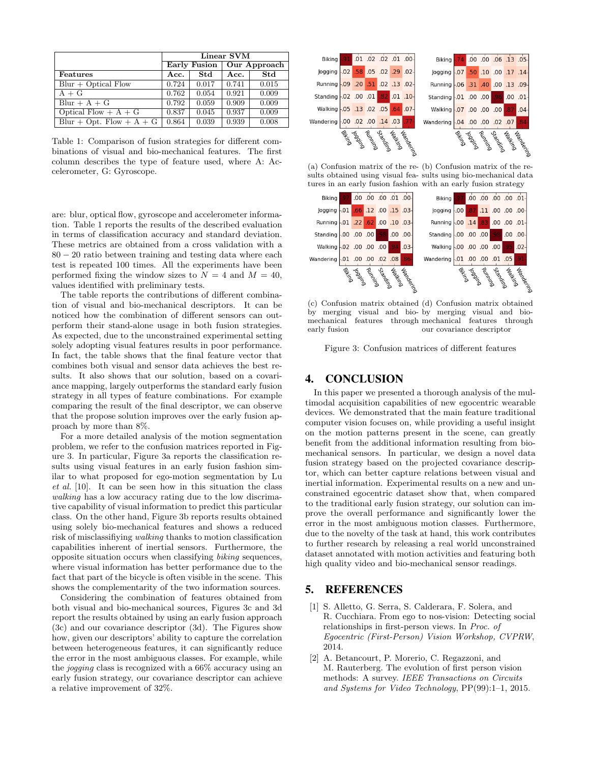|                            | Linear SVM |       |                                                |            |
|----------------------------|------------|-------|------------------------------------------------|------------|
|                            |            |       | Early Fusion $\sqrt{\phantom{a}}$ Our Approach |            |
| <b>Features</b>            | Acc.       | Std   | Acc.                                           | <b>Std</b> |
| $Blur + Optical Flow$      | 0.724      | 0.017 | 0.741                                          | 0.015      |
| $A + G$                    | 0.762      | 0.054 | 0.921                                          | 0.009      |
| $Blur + A + G$             | 0.792      | 0.059 | 0.909                                          | 0.009      |
| Optical Flow $+A+G$        | 0.837      | 0.045 | 0.937                                          | 0.009      |
| Blur + Opt. Flow + $A + G$ | 0.864      | 0.039 | 0.939                                          | 0.008      |

Table 1: Comparison of fusion strategies for different combinations of visual and bio-mechanical features. The first column describes the type of feature used, where A: Accelerometer, G: Gyroscope.

are: blur, optical flow, gyroscope and accelerometer information. Table 1 reports the results of the described evaluation in terms of classification accuracy and standard deviation. These metrics are obtained from a cross validation with a 80 − 20 ratio between training and testing data where each test is repeated 100 times. All the experiments have been performed fixing the window sizes to  $N = 4$  and  $M = 40$ , values identified with preliminary tests.

The table reports the contributions of different combination of visual and bio-mechanical descriptors. It can be noticed how the combination of different sensors can outperform their stand-alone usage in both fusion strategies. As expected, due to the unconstrained experimental setting solely adopting visual features results in poor performance. In fact, the table shows that the final feature vector that combines both visual and sensor data achieves the best results. It also shows that our solution, based on a covariance mapping, largely outperforms the standard early fusion strategy in all types of feature combinations. For example comparing the result of the final descriptor, we can observe that the propose solution improves over the early fusion approach by more than 8%.

For a more detailed analysis of the motion segmentation problem, we refer to the confusion matrices reported in Figure 3. In particular, Figure 3a reports the classification results using visual features in an early fusion fashion similar to what proposed for ego-motion segmentation by Lu et al. [10]. It can be seen how in this situation the class walking has a low accuracy rating due to the low discrimative capability of visual information to predict this particular class. On the other hand, Figure 3b reports results obtained using solely bio-mechanical features and shows a reduced risk of misclassifiying walking thanks to motion classification capabilities inherent of inertial sensors. Furthermore, the opposite situation occurs when classifying biking sequences, where visual information has better performance due to the fact that part of the bicycle is often visible in the scene. This shows the complementarity of the two information sources.

Considering the combination of features obtained from both visual and bio-mechanical sources, Figures 3c and 3d report the results obtained by using an early fusion approach (3c) and our covariance descriptor (3d). The Figures show how, given our descriptors' ability to capture the correlation between heterogeneous features, it can significantly reduce the error in the most ambiguous classes. For example, while the jogging class is recognized with a 66% accuracy using an early fusion strategy, our covariance descriptor can achieve a relative improvement of 32%.



(a) Confusion matrix of the re-(b) Confusion matrix of the results obtained using visual fea-sults using bio-mechanical data tures in an early fusion fashion with an early fusion strategy



(c) Confusion matrix obtained (d) Confusion matrix obtained by merging visual and bio-by merging visual and biomechanical features through mechanical features through early fusion our covariance descriptor

Figure 3: Confusion matrices of different features

### 4. CONCLUSION

In this paper we presented a thorough analysis of the multimodal acquisition capabilities of new egocentric wearable devices. We demonstrated that the main feature traditional computer vision focuses on, while providing a useful insight on the motion patterns present in the scene, can greatly benefit from the additional information resulting from biomechanical sensors. In particular, we design a novel data fusion strategy based on the projected covariance descriptor, which can better capture relations between visual and inertial information. Experimental results on a new and unconstrained egocentric dataset show that, when compared to the traditional early fusion strategy, our solution can improve the overall performance and significantly lower the error in the most ambiguous motion classes. Furthermore, due to the novelty of the task at hand, this work contributes to further research by releasing a real world unconstrained dataset annotated with motion activities and featuring both high quality video and bio-mechanical sensor readings.

#### 5. REFERENCES

- [1] S. Alletto, G. Serra, S. Calderara, F. Solera, and R. Cucchiara. From ego to nos-vision: Detecting social relationships in first-person views. In Proc. of Egocentric (First-Person) Vision Workshop, CVPRW, 2014.
- [2] A. Betancourt, P. Morerio, C. Regazzoni, and M. Rauterberg. The evolution of first person vision methods: A survey. IEEE Transactions on Circuits and Systems for Video Technology, PP(99):1–1, 2015.